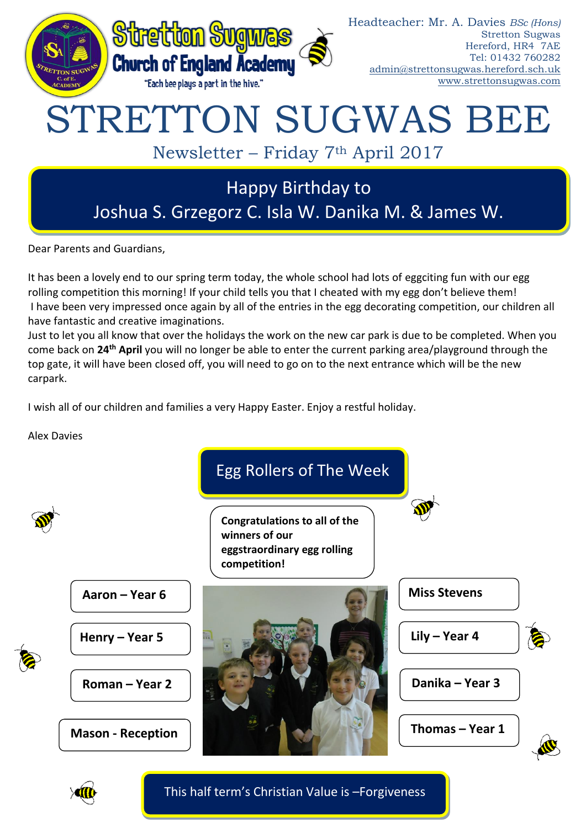

Dear Parents and Guardians,

It has been a lovely end to our spring term today, the whole school had lots of eggciting fun with our egg rolling competition this morning! If your child tells you that I cheated with my egg don't believe them! I have been very impressed once again by all of the entries in the egg decorating competition, our children all have fantastic and creative imaginations.

Just to let you all know that over the holidays the work on the new car park is due to be completed. When you come back on **24th April** you will no longer be able to enter the current parking area/playground through the top gate, it will have been closed off, you will need to go on to the next entrance which will be the new carpark.

I wish all of our children and families a very Happy Easter. Enjoy a restful holiday.

Alex Davies





This half term's Christian Value is –Forgiveness